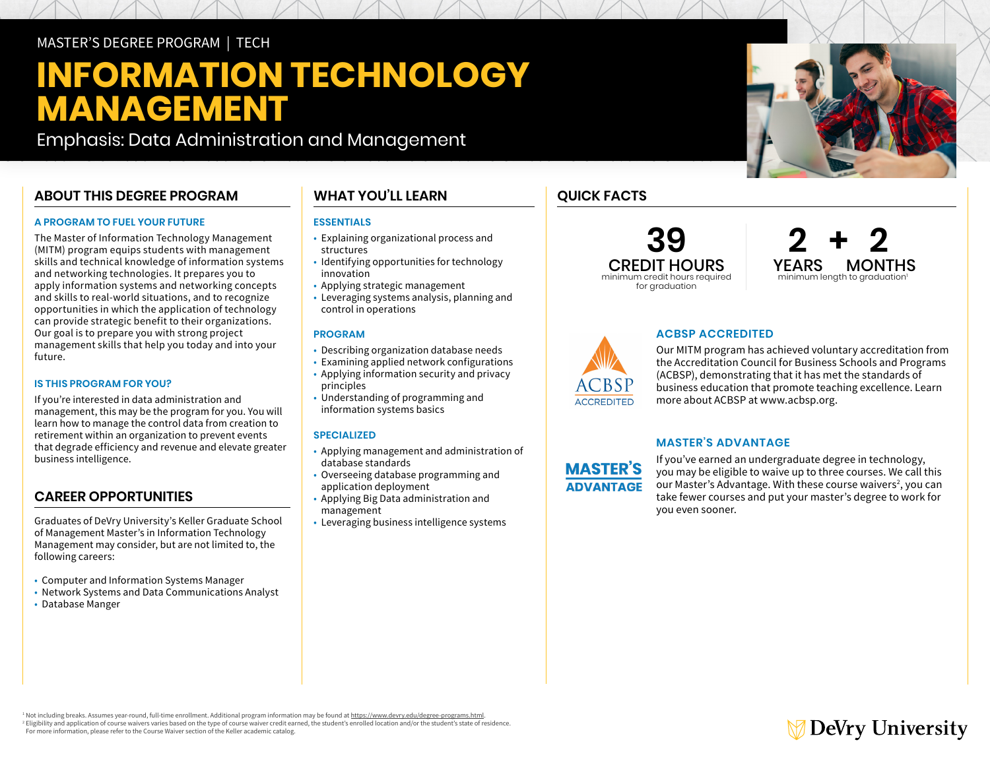# MASTER'S DEGREE PROGRAM | TECH

# **INFORMATION TECHNOLOGY MANAGEMENT**

Emphasis: Data Administration and Management

# **ABOUT THIS DEGREE PROGRAM**

#### **A PROGRAM TO FUEL YOUR FUTURE**

The Master of Information Technology Management (MITM) program equips students with management skills and technical knowledge of information systems and networking technologies. It prepares you to apply information systems and networking concepts and skills to real-world situations, and to recognize opportunities in which the application of technology can provide strategic benefit to their organizations. Our goal is to prepare you with strong project management skills that help you today and into your future.

#### **IS THIS PROGRAM FOR YOU?**

If you're interested in data administration and management, this may be the program for you. You will learn how to manage the control data from creation to retirement within an organization to prevent events that degrade efficiency and revenue and elevate greater business intelligence.

### **CAREER OPPORTUNITIES**

Graduates of DeVry University's Keller Graduate School of Management Master's in Information Technology Management may consider, but are not limited to, the following careers:

- Computer and Information Systems Manager
- Network Systems and Data Communications Analyst
- Database Manger

# **WHAT YOU'LL LEARN**

#### **ESSENTIALS**

- Explaining organizational process and structures
- Identifying opportunities for technology innovation
- Applying strategic management
- Leveraging systems analysis, planning and control in operations

#### **PROGRAM**

- Describing organization database needs
- Examining applied network configurations
- Applying information security and privacy principles
- Understanding of programming and information systems basics

#### **SPECIALIZED**

- Applying management and administration of database standards
- Overseeing database programming and application deployment
- Applying Big Data administration and management
- Leveraging business intelligence systems

# **QUICK FACTS**

## **39** CREDIT HOURS minimum credit hours required for graduation





#### **ACBSP ACCREDITED**

Our MITM program has achieved voluntary accreditation from the Accreditation Council for Business Schools and Programs (ACBSP), demonstrating that it has met the standards of business education that promote teaching excellence. Learn more about ACBSP at [www.acbsp.org.](http://www.acbsp.org)

#### **MASTER'S ADVANTAGE**

**MASTER'S ADVANTAGE** 

If you've earned an undergraduate degree in technology, you may be eligible to waive up to three courses. We call this our Master's Advantage. With these course waivers<sup>2</sup>, you can take fewer courses and put your master's degree to work for you even sooner.